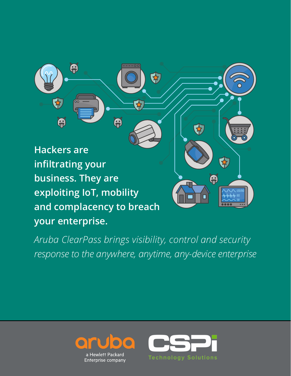

*Aruba ClearPass brings visibility, control and security response to the anywhere, anytime, any-device enterprise*



a Hewlett Packard Enterprise company

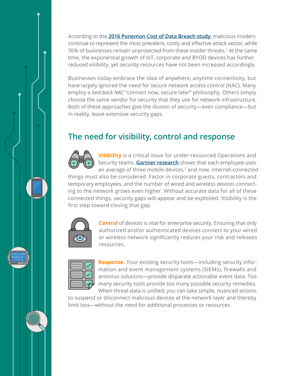According to the **2016 Ponemon Cost of Data Breach study**, malicious insiders continue to represent the most prevalent, costly and effective attack vector, while 76% of businesses remain unprotected from these insider threats.1 At the same time, the exponential growth of IoT, corporate and BYOD devices has further reduced visibility, yet security resources have not been increased accordingly.

Businesses today embrace the idea of anywhere, anytime connectivity, but have largely ignored the need for secure network access control (NAC). Many employ a *laid-back NAC* "connect now, secure later" philosophy. Others simply choose the same vendor for security that they use for network infrastructure. Both of these approaches give the illusion of security—even compliance—but in reality, leave extensive security gaps.

## **The need for visibility, control and response**



**Visibility** is a critical issue for under-resourced Operations and Security teams. **Gartner research** shows that each employee uses an average of three mobile devices, $2$  and now, internet-connected

things must also be considered. Factor in corporate guests, contractors and temporary employees, and the number of wired and wireless devices connecting to the network grows even higher. Without accurate data for all of these connected things, security gaps will appear and be exploited. Visibility is the first step toward closing that gap.



**Control** of devices is vital for enterprise security. Ensuring that only authorized and/or authenticated devices connect to your wired or wireless network significantly reduces your risk and releases resources.



**Response.** Your existing security tools—including security information and event management systems (SIEMs), firewalls and antivirus solutions—provide disparate actionable event data. Too many security tools provide too many possible security remedies. When threat data is unified, you can take simple, nuanced actions

to suspend or disconnect malicious devices at the network layer and thereby limit loss—without the need for additional processes or resources.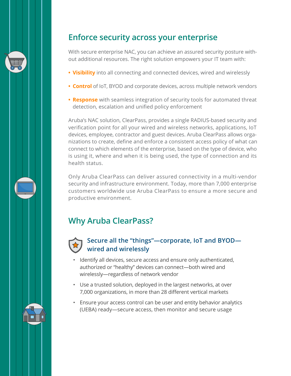

### **Enforce security across your enterprise**

With secure enterprise NAC, you can achieve an assured security posture without additional resources. The right solution empowers your IT team with:

- **• Visibility** into all connecting and connected devices, wired and wirelessly
- **• Control** of IoT, BYOD and corporate devices, across multiple network vendors
- **• Response** with seamless integration of security tools for automated threat detection, escalation and unified policy enforcement

Aruba's NAC solution, ClearPass, provides a single RADIUS-based security and verification point for all your wired and wireless networks, applications, IoT devices, employee, contractor and guest devices. Aruba ClearPass allows organizations to create, define and enforce a consistent access policy of what can connect to which elements of the enterprise, based on the type of device, who is using it, where and when it is being used, the type of connection and its health status.

Only Aruba ClearPass can deliver assured connectivity in a multi-vendor security and infrastructure environment. Today, more than 7,000 enterprise customers worldwide use Aruba ClearPass to ensure a more secure and productive environment.

# **Why Aruba ClearPass?**



#### **Secure all the "things"—corporate, IoT and BYOD wired and wirelessly**

- Identify all devices, secure access and ensure only authenticated, authorized or "healthy" devices can connect—both wired and wirelessly—regardless of network vendor
- Use a trusted solution, deployed in the largest networks, at over 7,000 organizations, in more than 28 different vertical markets
- Ensure your access control can be user and entity behavior analytics (UEBA) ready—secure access, then monitor and secure usage